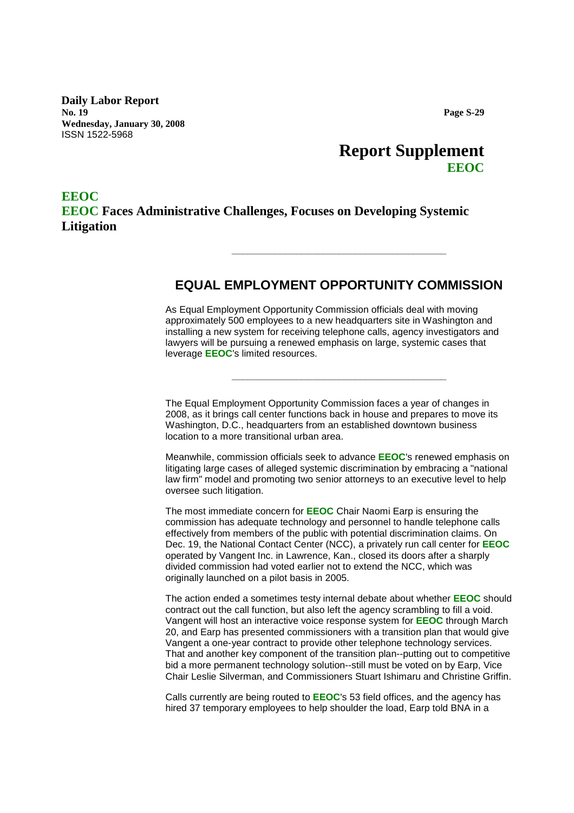**Daily Labor Report No. 19 Wednesday, January 30, 2008** ISSN 1522-5968

# **Report Supplement EEOC**

## **EEOC EEOC Faces Administrative Challenges, Focuses on Developing Systemic Litigation**

### **EQUAL EMPLOYMENT OPPORTUNITY COMMISSION**

**\_\_\_\_\_\_\_\_\_\_\_\_\_\_\_\_\_\_\_\_\_\_\_\_\_\_\_\_\_\_\_\_\_\_\_\_\_\_\_\_**

As Equal Employment Opportunity Commission officials deal with moving approximately 500 employees to a new headquarters site in Washington and installing a new system for receiving telephone calls, agency investigators and lawyers will be pursuing a renewed emphasis on large, systemic cases that leverage **EEOC**'s limited resources.

**\_\_\_\_\_\_\_\_\_\_\_\_\_\_\_\_\_\_\_\_\_\_\_\_\_\_\_\_\_\_\_\_\_\_\_\_\_\_\_\_**

The Equal Employment Opportunity Commission faces a year of changes in 2008, as it brings call center functions back in house and prepares to move its Washington, D.C., headquarters from an established downtown business location to a more transitional urban area.

Meanwhile, commission officials seek to advance **EEOC**'s renewed emphasis on litigating large cases of alleged systemic discrimination by embracing a "national law firm" model and promoting two senior attorneys to an executive level to help oversee such litigation.

The most immediate concern for **EEOC** Chair Naomi Earp is ensuring the commission has adequate technology and personnel to handle telephone calls effectively from members of the public with potential discrimination claims. On Dec. 19, the National Contact Center (NCC), a privately run call center for **EEOC** operated by Vangent Inc. in Lawrence, Kan., closed its doors after a sharply divided commission had voted earlier not to extend the NCC, which was originally launched on a pilot basis in 2005.

The action ended a sometimes testy internal debate about whether **EEOC** should contract out the call function, but also left the agency scrambling to fill a void. Vangent will host an interactive voice response system for **EEOC** through March 20, and Earp has presented commissioners with a transition plan that would give Vangent a one-year contract to provide other telephone technology services. That and another key component of the transition plan--putting out to competitive bid a more permanent technology solution--still must be voted on by Earp, Vice Chair Leslie Silverman, and Commissioners Stuart Ishimaru and Christine Griffin.

Calls currently are being routed to **EEOC**'s 53 field offices, and the agency has hired 37 temporary employees to help shoulder the load, Earp told BNA in a

**Page S-29**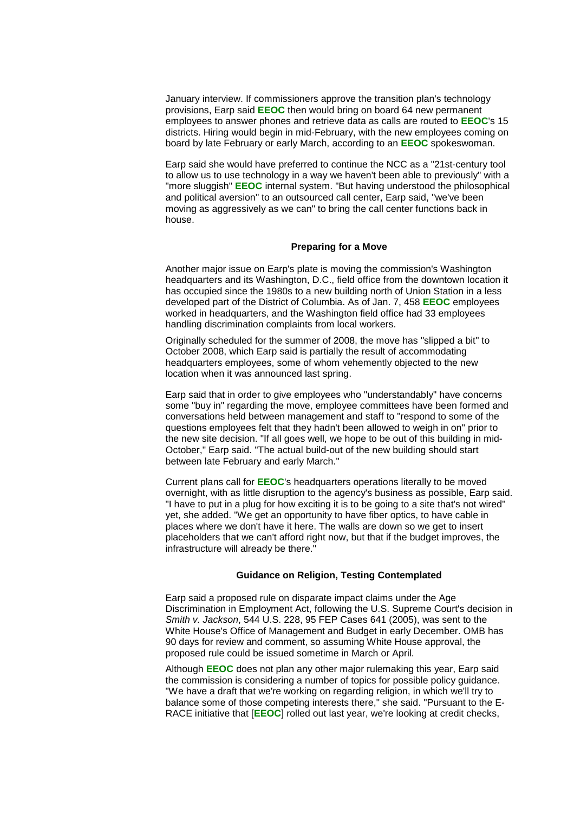January interview. If commissioners approve the transition plan's technology provisions, Earp said **EEOC** then would bring on board 64 new permanent employees to answer phones and retrieve data as calls are routed to **EEOC**'s 15 districts. Hiring would begin in mid-February, with the new employees coming on board by late February or early March, according to an **EEOC** spokeswoman.

Earp said she would have preferred to continue the NCC as a "21st-century tool to allow us to use technology in a way we haven't been able to previously" with a "more sluggish" **EEOC** internal system. "But having understood the philosophical and political aversion" to an outsourced call center, Earp said, "we've been moving as aggressively as we can" to bring the call center functions back in house.

#### **Preparing for a Move**

Another major issue on Earp's plate is moving the commission's Washington headquarters and its Washington, D.C., field office from the downtown location it has occupied since the 1980s to a new building north of Union Station in a less developed part of the District of Columbia. As of Jan. 7, 458 **EEOC** employees worked in headquarters, and the Washington field office had 33 employees handling discrimination complaints from local workers.

Originally scheduled for the summer of 2008, the move has "slipped a bit" to October 2008, which Earp said is partially the result of accommodating headquarters employees, some of whom vehemently objected to the new location when it was announced last spring.

Earp said that in order to give employees who "understandably" have concerns some "buy in" regarding the move, employee committees have been formed and conversations held between management and staff to "respond to some of the questions employees felt that they hadn't been allowed to weigh in on" prior to the new site decision. "If all goes well, we hope to be out of this building in mid-October," Earp said. "The actual build-out of the new building should start between late February and early March."

Current plans call for **EEOC**'s headquarters operations literally to be moved overnight, with as little disruption to the agency's business as possible, Earp said. "I have to put in a plug for how exciting it is to be going to a site that's not wired" yet, she added. "We get an opportunity to have fiber optics, to have cable in places where we don't have it here. The walls are down so we get to insert placeholders that we can't afford right now, but that if the budget improves, the infrastructure will already be there."

### **Guidance on Religion, Testing Contemplated**

Earp said a proposed rule on disparate impact claims under the Age Discrimination in Employment Act, following the U.S. Supreme Court's decision in *Smith v. Jackson*, 544 U.S. 228, 95 FEP Cases 641 (2005), was sent to the White House's Office of Management and Budget in early December. OMB has 90 days for review and comment, so assuming White House approval, the proposed rule could be issued sometime in March or April.

Although **EEOC** does not plan any other major rulemaking this year, Earp said the commission is considering a number of topics for possible policy guidance. "We have a draft that we're working on regarding religion, in which we'll try to balance some of those competing interests there," she said. "Pursuant to the E-RACE initiative that [**EEOC**] rolled out last year, we're looking at credit checks,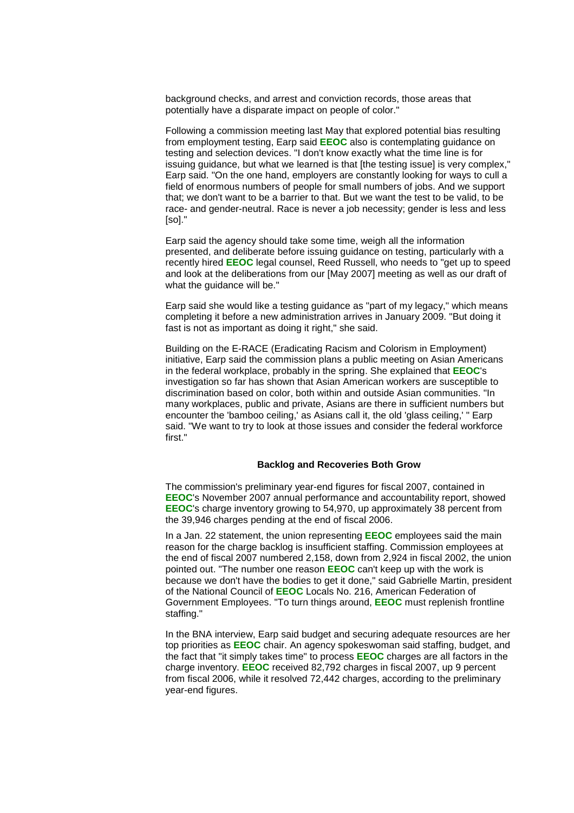background checks, and arrest and conviction records, those areas that potentially have a disparate impact on people of color."

Following a commission meeting last May that explored potential bias resulting from employment testing, Earp said **EEOC** also is contemplating guidance on testing and selection devices. "I don't know exactly what the time line is for issuing guidance, but what we learned is that [the testing issue] is very complex," Earp said. "On the one hand, employers are constantly looking for ways to cull a field of enormous numbers of people for small numbers of jobs. And we support that; we don't want to be a barrier to that. But we want the test to be valid, to be race- and gender-neutral. Race is never a job necessity; gender is less and less [so]."

Earp said the agency should take some time, weigh all the information presented, and deliberate before issuing guidance on testing, particularly with a recently hired **EEOC** legal counsel, Reed Russell, who needs to "get up to speed and look at the deliberations from our [May 2007] meeting as well as our draft of what the quidance will be."

Earp said she would like a testing guidance as "part of my legacy," which means completing it before a new administration arrives in January 2009. "But doing it fast is not as important as doing it right," she said.

Building on the E-RACE (Eradicating Racism and Colorism in Employment) initiative, Earp said the commission plans a public meeting on Asian Americans in the federal workplace, probably in the spring. She explained that **EEOC**'s investigation so far has shown that Asian American workers are susceptible to discrimination based on color, both within and outside Asian communities. "In many workplaces, public and private, Asians are there in sufficient numbers but encounter the 'bamboo ceiling,' as Asians call it, the old 'glass ceiling,' " Earp said. "We want to try to look at those issues and consider the federal workforce first."

#### **Backlog and Recoveries Both Grow**

The commission's preliminary year-end figures for fiscal 2007, contained in **EEOC**'s November 2007 annual performance and accountability report, showed **EEOC**'s charge inventory growing to 54,970, up approximately 38 percent from the 39,946 charges pending at the end of fiscal 2006.

In a Jan. 22 statement, the union representing **EEOC** employees said the main reason for the charge backlog is insufficient staffing. Commission employees at the end of fiscal 2007 numbered 2,158, down from 2,924 in fiscal 2002, the union pointed out. "The number one reason **EEOC** can't keep up with the work is because we don't have the bodies to get it done," said Gabrielle Martin, president of the National Council of **EEOC** Locals No. 216, American Federation of Government Employees. "To turn things around, **EEOC** must replenish frontline staffing."

In the BNA interview, Earp said budget and securing adequate resources are her top priorities as **EEOC** chair. An agency spokeswoman said staffing, budget, and the fact that "it simply takes time" to process **EEOC** charges are all factors in the charge inventory. **EEOC** received 82,792 charges in fiscal 2007, up 9 percent from fiscal 2006, while it resolved 72,442 charges, according to the preliminary year-end figures.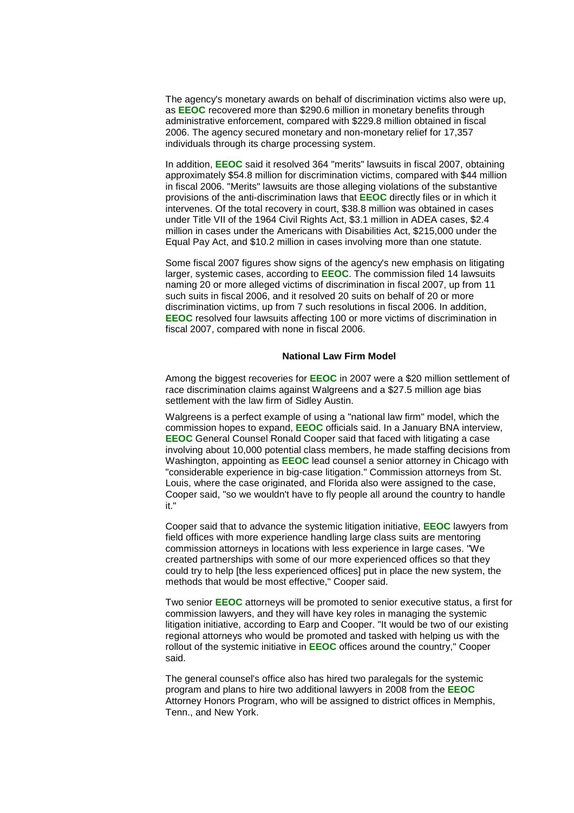The agency's monetary awards on behalf of discrimination victims also were up, as **EEOC** recovered more than \$290.6 million in monetary benefits through administrative enforcement, compared with \$229.8 million obtained in fiscal 2006. The agency secured monetary and non-monetary relief for 17,357 individuals through its charge processing system.

In addition, **EEOC** said it resolved 364 "merits" lawsuits in fiscal 2007, obtaining approximately \$54.8 million for discrimination victims, compared with \$44 million in fiscal 2006. "Merits" lawsuits are those alleging violations of the substantive provisions of the anti-discrimination laws that **EEOC** directly files or in which it intervenes. Of the total recovery in court, \$38.8 million was obtained in cases under Title VII of the 1964 Civil Rights Act, \$3.1 million in ADEA cases, \$2.4 million in cases under the Americans with Disabilities Act, \$215,000 under the Equal Pay Act, and \$10.2 million in cases involving more than one statute.

Some fiscal 2007 figures show signs of the agency's new emphasis on litigating larger, systemic cases, according to **EEOC**. The commission filed 14 lawsuits naming 20 or more alleged victims of discrimination in fiscal 2007, up from 11 such suits in fiscal 2006, and it resolved 20 suits on behalf of 20 or more discrimination victims, up from 7 such resolutions in fiscal 2006. In addition, **EEOC** resolved four lawsuits affecting 100 or more victims of discrimination in fiscal 2007, compared with none in fiscal 2006.

### **National Law Firm Model**

Among the biggest recoveries for **EEOC** in 2007 were a \$20 million settlement of race discrimination claims against Walgreens and a \$27.5 million age bias settlement with the law firm of Sidley Austin.

Walgreens is a perfect example of using a "national law firm" model, which the commission hopes to expand, **EEOC** officials said. In a January BNA interview, **EEOC** General Counsel Ronald Cooper said that faced with litigating a case involving about 10,000 potential class members, he made staffing decisions from Washington, appointing as **EEOC** lead counsel a senior attorney in Chicago with "considerable experience in big-case litigation." Commission attorneys from St. Louis, where the case originated, and Florida also were assigned to the case, Cooper said, "so we wouldn't have to fly people all around the country to handle it."

Cooper said that to advance the systemic litigation initiative, **EEOC** lawyers from field offices with more experience handling large class suits are mentoring commission attorneys in locations with less experience in large cases. "We created partnerships with some of our more experienced offices so that they could try to help [the less experienced offices] put in place the new system, the methods that would be most effective," Cooper said.

Two senior **EEOC** attorneys will be promoted to senior executive status, a first for commission lawyers, and they will have key roles in managing the systemic litigation initiative, according to Earp and Cooper. "It would be two of our existing regional attorneys who would be promoted and tasked with helping us with the rollout of the systemic initiative in **EEOC** offices around the country," Cooper said.

The general counsel's office also has hired two paralegals for the systemic program and plans to hire two additional lawyers in 2008 from the **EEOC** Attorney Honors Program, who will be assigned to district offices in Memphis, Tenn., and New York.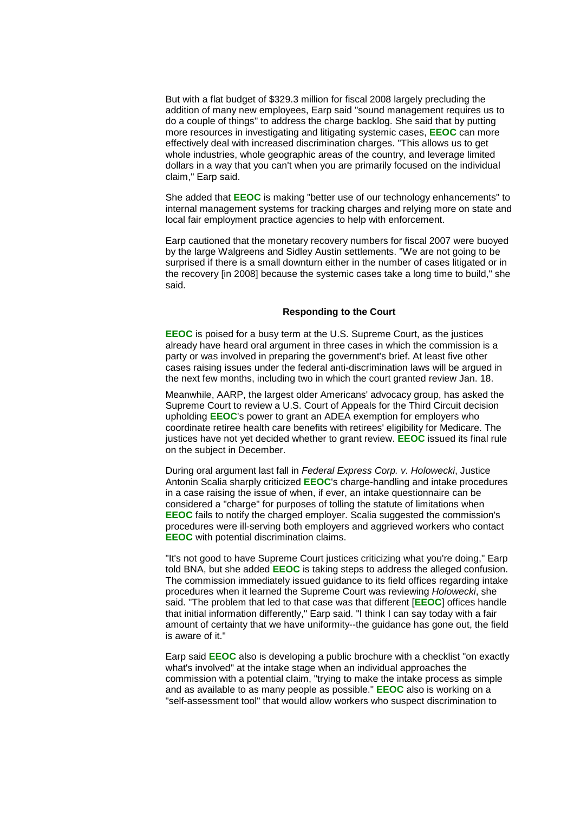But with a flat budget of \$329.3 million for fiscal 2008 largely precluding the addition of many new employees, Earp said "sound management requires us to do a couple of things" to address the charge backlog. She said that by putting more resources in investigating and litigating systemic cases, **EEOC** can more effectively deal with increased discrimination charges. "This allows us to get whole industries, whole geographic areas of the country, and leverage limited dollars in a way that you can't when you are primarily focused on the individual claim," Earp said.

She added that **EEOC** is making "better use of our technology enhancements" to internal management systems for tracking charges and relying more on state and local fair employment practice agencies to help with enforcement.

Earp cautioned that the monetary recovery numbers for fiscal 2007 were buoyed by the large Walgreens and Sidley Austin settlements. "We are not going to be surprised if there is a small downturn either in the number of cases litigated or in the recovery [in 2008] because the systemic cases take a long time to build," she said.

#### **Responding to the Court**

**EEOC** is poised for a busy term at the U.S. Supreme Court, as the justices already have heard oral argument in three cases in which the commission is a party or was involved in preparing the government's brief. At least five other cases raising issues under the federal anti-discrimination laws will be argued in the next few months, including two in which the court granted review Jan. 18.

Meanwhile, AARP, the largest older Americans' advocacy group, has asked the Supreme Court to review a U.S. Court of Appeals for the Third Circuit decision upholding **EEOC**'s power to grant an ADEA exemption for employers who coordinate retiree health care benefits with retirees' eligibility for Medicare. The justices have not yet decided whether to grant review. **EEOC** issued its final rule on the subject in December.

During oral argument last fall in *Federal Express Corp. v. Holowecki*, Justice Antonin Scalia sharply criticized **EEOC**'s charge-handling and intake procedures in a case raising the issue of when, if ever, an intake questionnaire can be considered a "charge" for purposes of tolling the statute of limitations when **EEOC** fails to notify the charged employer. Scalia suggested the commission's procedures were ill-serving both employers and aggrieved workers who contact **EEOC** with potential discrimination claims.

"It's not good to have Supreme Court justices criticizing what you're doing," Earp told BNA, but she added **EEOC** is taking steps to address the alleged confusion. The commission immediately issued guidance to its field offices regarding intake procedures when it learned the Supreme Court was reviewing *Holowecki*, she said. "The problem that led to that case was that different [**EEOC**] offices handle that initial information differently," Earp said. "I think I can say today with a fair amount of certainty that we have uniformity--the guidance has gone out, the field is aware of it."

Earp said **EEOC** also is developing a public brochure with a checklist "on exactly what's involved" at the intake stage when an individual approaches the commission with a potential claim, "trying to make the intake process as simple and as available to as many people as possible." **EEOC** also is working on a "self-assessment tool" that would allow workers who suspect discrimination to